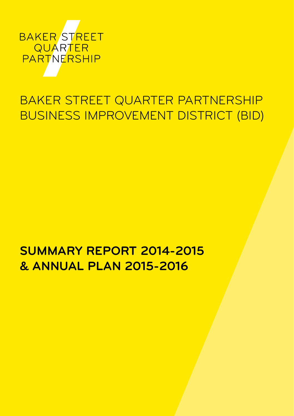

# Baker Street Quarter Partnership Business Improvement District (BID)

## **Summary Report 2014-2015 & Annual Plan 2015-2016**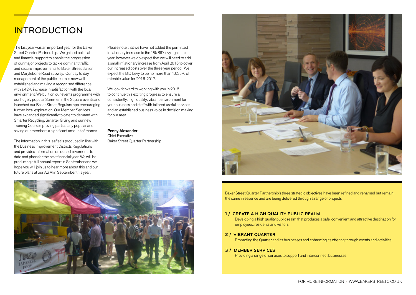# **INTRODUCTION**

The last year was an important year for the Baker Street Quarter Partnership. We gained political and financial support to enable the progression of our major projects to tackle dominant traffic and secure improvements to Baker Street station and Marylebone Road subway. Our day to day management of the public realm is now well established and making a recognised difference with a 42% increase in satisfaction with the local environment. We built on our events programme with our hugely popular Summer in the Square events and launched our Baker Street Regulars app encouraging further local exploration. Our Member Services have expanded significantly to cater to demand with Smarter Recycling, Smarter Giving and our new Training Courses proving particularly popular and saving our members a significant amount of money.

The information in this leaflet is produced in line with the Business Improvement Districts Regulations and provides information on our achievements to date and plans for the next financial year. We will be producing a full annual report in September and we hope you will join us to hear more about this and our future plans at our AGM in September this year.

Please note that we have not added the permitted inflationary increase to the 1% BID levy again this year, however we do expect that we will need to add a small inflationary increase from April 2016 to cover our increased costs over the three year period. We expect the BID Levy to be no more than 1.025% of rateable value for 2016-2017.

We look forward to working with you in 2015 to continue this exciting progress to ensure a consistently, high quality, vibrant environment for your business and staff with tailored useful services and an established business voice in decision making for our area.

### Penny Alexander

Chief Executive Baker Street Quarter Partnership



Baker Street Quarter Partnership's three strategic objectives have been refined and renamed but remain the same in essence and are being delivered through a range of projects.

#### **1 / CREATE A HIGH QUALITY PUBLIC REALM**

Developing a high quality public realm that produces a safe, convenient and attractive destination for employees, residents and visitors

#### **2 / VIBRANT QUARTER**

Promoting the Quarter and its businesses and enhancing its offering through events and activities

#### **3 / MEMBER SERVICES**

Providing a range of services to support and interconnect businesses

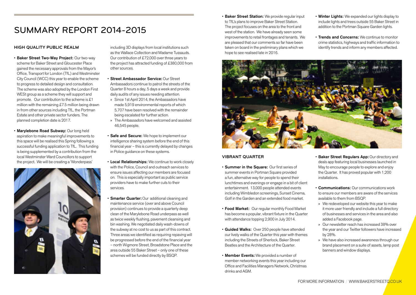# Summary Report 2014-2015

#### **High Quality Public Realm**

- Baker Street Two-Way Project: Our two-way scheme for Baker Street and Gloucester Place gained the necessary approvals from the Mayor's Office, Transport for London (TfL) and Westminster City Council (WCC) this year to enable the scheme to progress to detailed design and consultation. The scheme was also adopted by the London First WESt group as a scheme they will support and promote. Our contribution to the scheme is £1 million with the remaining £7.5 million being drawn in from other sources including TfL, the Portman Estate and other private sector funders. The planned completion date is 2017.
- Marylebone Road Subway: Our long held aspiration to make meaningful improvements to this space will be realised this Spring following a successful funding application to TfL. This funding is being supplemented by a contribution from the local Westminster Ward Councillors to support the project. We will be creating a 'Wonderpass'



including 3D displays from local institutions such as the Wallace Collection and Madame Tussauds. Our contribution of £72,000 over three years to the project has attracted funding of £380,000 from other sources.

- Street Ambassador Service: Our Street Ambassadors continue to patrol the streets of the Quarter 8 hours a day, 5 days a week and provide daily audits of any issues needing attention.
- » Since 1st April 2014, the Ambassadors have made 5,919 environmental reports of which 5,707 have been resolved with the remainder being escalated for further action.
- » The Ambassadors have welcomed and assisted 46,545 people.
- **Safe and Secure:** We hope to implement our intelligence sharing system before the end of this financial year – this is currently delayed by changes in Police guidance on these systems.
- Local Relationships: We continue to work closely with the Police, Council and outreach services to ensure issues affecting our members are focused on. This is especially important as public service providers have to make further cuts to their services.
- **· Smarter Quarter:** Our additional cleaning and maintenance service (over and above Council provision) continues to provide a quarterly deep clean of the Marylebone Road underpass as well as twice weekly flushing, pavement cleansing and bin washing. We negotiated daily wash-downs of the subway at no cost to us as part of this contract. Three areas we identified as requiring repaving will be progressed before the end of the financial year – north Wigmore Street, Broadstone Place and the area outside 55 Baker Street – only one of these schemes will be funded directly by BSQP.
- Baker Street Station: We provide regular input to TfL's plans to improve Baker Street Station. The project focuses on the area to the front and west of the station. We have already seen some improvements to retail frontages and tenants. We are pleased that our comments so far have been taken on board in the preliminary plans which we hope to see realised late in 2016.
- Winter Lights: We expanded our lights display to include lights and trees outside 55 Baker Street in addition to the Portman Square Garden lights.
- Trends and Concerns: We continue to monitor crime statistics, highways and traffic information to identify trends and inform any members affected.



#### **Vibrant Quarter**

- Summer in the Square: Our first series of summer events in Portman Square provided a fun, alternative way for people to spend their lunchtimes and evenings or engage in a bit of client entertainment. 13,000 people attended events including Wimbledon screenings, Sunset Cinema, Golf in the Garden and an extended food market.
- Food Market: Our regular monthly Food Market has become a popular, vibrant fixture in the Quarter with attendance topping 2,900 in July 2014.
- Guided Walks: Over 250 people have attended our lively walks of the Quarter this year with themes including the Streets of Sherlock, Baker Street Beatles and the Architecture of the Quarter.
- Member Events: We provided a number of member networking events this year including our Office and Facilities Managers Network, Christmas drinks and AGM.
- Baker Street Regulars App: Our directory and deals app featuring local businesses launched in May to encourage people to explore and enjoy the Quarter. It has proved popular with 1,200 installations.
- Communications: Our communications work to ensure our members are aware of the services available to them from BSQP.
- » We redeveloped our website this year to make it more user friendly and include a full directory of businesses and services in the area and also added a Facebook page.
- » Our newsletter reach has increased 38% over the year and our Twitter followers have increased by 28%.
- » We have also increased awareness through our brand placement on a suite of assets, lamp post banners and window displays.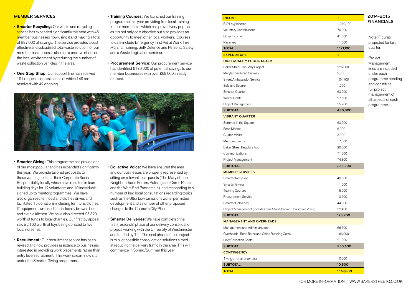### **Member Services**

- **Smarter Recycling:** Our waste and recycling service has expanded significantly this year with 45 member businesses now using it and making a total of £97,000 of savings. The service provides a cost effective and subsidised total waste solution for our member businesses. It also has a positive effect on the local environment by reducing the number of waste collection vehicles in the area.
- One Stop Shop: Our support line has received 191 requests for assistance of which 149 are resolved with 42 ongoing.
- Training Courses: We launched our training programme this year providing free local training for our members – which has proved very popular as it is not only cost effective but also provides an opportunity to meet other local workers. Courses to date include Emergency First Aid at Work, Fire Marshal Training, Self-Defence and Personal Safety and a Waste Legislation seminar.
- Procurement Service: Our procurement service has identified £170,000 of potential savings to our member businesses with over £69,000 already realised.



- Smarter Giving: This programme has proved one of our most popular and has expanded significantly this year. We provide tailored proposals to those wanting to focus their Corporate Social Responsibility locally which have resulted in team building days for 12 volunteers and 10 individuals signed up to mentor programmes. We have also organised ten food and clothes drives and facilitated 15 donations including furniture, clothes, IT equipment, un-used fabric, locally brewed beer and even a kitchen. We have also directed £5,320 worth of funds to local charities. Our first toy appeal saw £2,160 worth of toys being donated to five local nurseries.
- Recruitment: Our recruitment service has been revised and now provides assistance to businesses interested in providing work placements rather than entry level recruitment. This work stream now sits under the Smarter Giving programme.
- Collective Voice: We have ensured the area and our businesses are properly represented by sitting on relevant local panels (The Marylebone Neighbourhood Forum, Policing and Crime Panels and the West End Partnership) and responding to a number of key local consultations regarding topics such as the Ultra Low Emissions Zone, permitted development and a number of other proposed changes to the Council's City Plan.
- **Smarter Deliveries:** We have completed the first (research) phase of our delivery consolidation project, working with the University of Westminster and funded by TfL. The next phase of the project is to pilot possible consolidation solutions aimed at reducing the delivery traffic in the area. This will commence in Spring/Summer this year.

| <b>INCOME</b>                                                    | £         | 2014-2015                            |
|------------------------------------------------------------------|-----------|--------------------------------------|
| BID Levy Income                                                  | 1,049,100 | <b>FINANCIALS</b>                    |
| Voluntary Contributions                                          | 70,000    |                                      |
| Other Income                                                     | 41,000    | Note: Figures                        |
| Reserves                                                         | 11,000    | projected for last                   |
| <b>TOTAL</b>                                                     | 1,171,100 | quarter.                             |
| <b>EXPENDITURE</b>                                               | £         |                                      |
| <b>HIGH QUALITY PUBLIC REALM</b>                                 |           | Project<br>Management                |
| Baker Street Two-Way Project                                     | 226,000   | lines are included                   |
| Marylebone Road Subway                                           | 2,800     | under each                           |
| Street Ambassador Service                                        | 104,700   | programme heading                    |
| Safe and Secure                                                  | 1,000     | and constitute                       |
| Smarter Quarter                                                  | 63,000    | full project                         |
| Winter Lights                                                    | 27,600    | management of<br>all aspects of each |
| Project Management                                               | 55,200    | programme.                           |
| <b>SUBTOTAL</b>                                                  | 480,300   |                                      |
| <b>VIBRANT QUARTER</b>                                           |           |                                      |
| Summer in the Square                                             | 63,200    |                                      |
| Food Market                                                      | 6,000     |                                      |
| <b>Guided Walks</b>                                              | 3,000     |                                      |
| Member Events                                                    | 17,000    |                                      |
| Baker Street Regulars App                                        | 20,000    |                                      |
| Communications                                                   | 71,200    |                                      |
| Project Management                                               | 74,800    |                                      |
| <b>SUBTOTAL</b>                                                  | 255,200   |                                      |
| <b>MEMBER SERVICES</b>                                           |           |                                      |
| Smarter Recycling                                                | 40,300    |                                      |
| Smarter Giving                                                   | 11,000    |                                      |
| <b>Training Courses</b>                                          | 15,000    |                                      |
| Procurement Service                                              | 10,500    |                                      |
| <b>Smarter Deliveries</b>                                        | 44,000    |                                      |
| Project Management (includes One Stop Shop and Collective Voice) | 52,400    |                                      |
| <b>SUBTOTAL</b>                                                  | 173,200   |                                      |
| <b>MANAGEMENT AND OVERHEADS</b>                                  |           |                                      |
| Management and Administration                                    | 66,600    |                                      |
| Overheads-Rent, Rates and Office Running Costs                   | 163,000   |                                      |
| Levy Collection Costs                                            | 21,000    |                                      |
| <b>SUBTOTAL</b>                                                  | 250,600   |                                      |
| <b>CONTINGENCY</b>                                               |           |                                      |
| 1% general provision                                             | 10,500    |                                      |
| <b>SUBTOTAL</b>                                                  | 10,500    |                                      |
| <b>TOTAL</b>                                                     | 1,169,800 |                                      |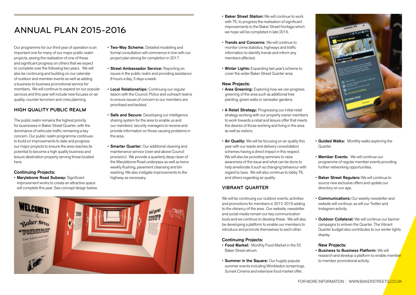# Annual Plan 2015-2016

Our programme for our third year of operation is an important one for many of our major public realm projects, seeing the realisation of one of these and significant progress on others that we expect to complete over the following two years. We will also be continuing and building on our calendar of outdoor and member events as well as adding a business to business promotional service for members. We will continue to expand on our popular services and this year will include new focuses on air quality, counter terrorism and crisis planning.

## **High Quality Public Realm**

The public realm remains the highest priority for businesses in Baker Street Quarter, with the dominance of vehicular traffic remaining a key concern. Our public realm programme continues to build on improvements to date and progress our major projects to ensure the area reaches its potential to become a high quality business and leisure destination properly serving those located here.

## Continuing Projects:

• Marylebone Road Subway: Significant improvement works to create an attractive space will complete this year. See concept design below.

- Two-Way Scheme: Detailed modelling and formal consultation will commence in line with our project plan aiming for completion in 2017.
- Street Ambassador Service: Reporting on issues in the public realm and providing assistance 8 hours a day, 5 days a week.
- Local Relationships: Continuing our regular liaison with the Council, Police and outreach teams to ensure issues of concern to our members are prioritised and tackled.
- Safe and Secure: Developing our intelligence sharing system for the area to enable us and our members' security managers to receive and provide information on those causing problems in the area.
- **Smarter Quarter:** Our additional cleaning and maintenance service (over and above Council provision). We provide a quarterly deep clean of the Marylebone Road underpass as well as twice weekly flushing, pavement cleansing and bin washing. We also instigate improvements to the highway as necessary.



- Baker Street Station: We will continue to work with TfL to progress the realisation of significant improvements to the Baker Street frontage which we hope will be completed in late 2016.
- Trends and Concerns: We will continue to monitor crime statistics, highways and traffic information to identify trends and inform any members affected.
- Winter Lights: Expanding last year's scheme to cover the wider Baker Street Quarter area.

### New Projects:

- Area Greening: Exploring how we can progress greening of the area such as additional tree planting, green walls or rainwater gardens.
- A Retail Strategy: Progressing our initial retail strategy working with our property owner members to work towards a retail and leisure offer that meets the desires of those working and living in the area as well as visitors.
- Air Quality: We will be focusing on air quality this year with our waste and delivery consolidation schemes having a direct impact in this respect. We will also be providing seminars to raise awareness of the issue and what can be done to help ameliorate it such as changing behaviour with regard to taxis. We will also continue to lobby TfL and others regarding air quality.

## **Vibrant Quarter**

We will be continuing our outdoor events, activities and promotions for members in 2015-2016 adding to the vibrancy of the area. Our website, newsletter and social media remain our key communication tools and we continue to develop these. We will also be developing a platform to enable our members to introduce and promote themselves to each other.

### Continuing Projects:

- Food Market: Monthly Food Market in the 55 Baker Street atrium.
- Summer in the Square: Our hugely popular summer events including Wimbledon screenings, Sunset Cinema and extensive food market offer.



- Guided Walks: Monthly walks exploring the Quarter.
- Member Events: We will continue our programme of regular member events providing further networking opportunities.
- Baker Street Regulars: We will continue to source new exclusive offers and update our directory on our app.
- Communications: Our weekly newsletter and website will continue, as will our Twitter and Instagram activity.
- Outdoor Collateral: We will continue our banner campaigns to enliven the Quarter. The Vibrant Quarter budget also contributes to our winter lights display.

### New Projects:

• Business to Business Platform: We will research and develop a platform to enable member to member promotional activity.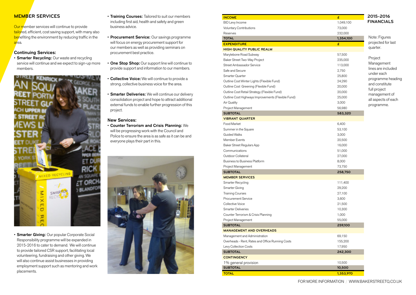## **Member Services**

Our member services will continue to provide tailored, efficient, cost saving support, with many also benefiting the environment by reducing traffic in the area.

### Continuing Services:

• Smarter Recycling: Our waste and recycling service will continue and we expect to sign-up more members.



• Smarter Giving: Our popular Corporate Social Responsibility programme will be expanded in 2015-2016 to cater to demand. We will continue to provide tailored CSR support, facilitating local volunteering, fundraising and other giving. We will also continue assist businesses in providing employment support such as mentoring and work placements.

- Training Courses: Tailored to suit our members including first aid, health and safety and green business advice.
- Procurement Service: Our savings programme will focus on energy procurement support for our members as well as providing seminars on procurement best practice.
- One Stop Shop: Our support line will continue to provide support and information to our members.
- **Collective Voice:** We will continue to provide a strong, collective business voice for the area.
- **Smarter Deliveries:** We will continue our delivery consolidation project and hope to attract additional external funds to enable further progression of this project.

## New Services:

• Counter Terrorism and Crisis Planning: We will be progressing work with the Council and Police to ensure the area is as safe as it can be and everyone plays their part in this.



| <b>INCOME</b>                                      | £         | 2015-2016                        |
|----------------------------------------------------|-----------|----------------------------------|
| BID Levy Income                                    | 1,049,100 | <b>FINANCIALS</b>                |
| Voluntary Contributions                            | 73,000    |                                  |
| Reserves                                           | 232,000   |                                  |
| <b>TOTAL</b>                                       | 1,354,100 | Note: Figures                    |
| <b>EXPENDITURE</b>                                 | £         | projected for last               |
| <b>HIGH QUALITY PUBLIC REALM</b>                   |           | quarter.                         |
| Marylebone Road Subway                             | 57,500    |                                  |
| Baker Street Two-Way Project                       | 235,000   | Project                          |
| Street Ambassador Service                          | 113,000   | Management                       |
| Safe and Secure                                    | 2,750     | lines are included<br>under each |
| Smarter Quarter                                    | 25,800    | programme heading                |
| Outline Cost Winter Lights (Flexible Fund)         | 24,290    | and constitute                   |
| Outline Cost Greening (Flexible Fund)              | 20,000    | full project                     |
| Outline Cost Retail Strategy (Flexible Fund)       | 20,000    | management of                    |
| Outline Cost Highways Improvements (Flexible Fund) | 25,000    | all aspects of each              |
| Air Quality                                        | 3,000     | programme.                       |
| Project Management                                 | 56,980    |                                  |
| <b>SUBTOTAL</b>                                    | 583,320   |                                  |
| <b>VIBRANT QUARTER</b>                             |           |                                  |
| Food Market                                        | 6,400     |                                  |
| Summer in the Square                               | 53,100    |                                  |
| <b>Guided Walks</b>                                | 3,000     |                                  |
| Member Events                                      | 20,500    |                                  |
| Baker Street Regulars App                          | 16,000    |                                  |
| Communications                                     | 51,000    |                                  |
| Outdoor Collateral                                 | 27,000    |                                  |
| Business to Business Platform                      | 8,000     |                                  |
| Project Management                                 | 73,750    |                                  |
| <b>SUBTOTAL</b>                                    | 258,750   |                                  |
| <b>MEMBER SERVICES</b>                             |           |                                  |
| Smarter Recycling                                  | 111,400   |                                  |
| Smarter Giving                                     | 29,200    |                                  |
| <b>Training Courses</b>                            | 27,100    |                                  |
| Procurement Service                                | 3,600     |                                  |
| <b>Collective Voice</b>                            | 21,500    |                                  |
| <b>Smarter Deliveries</b>                          | 10,300    |                                  |
| Counter Terrorism & Crisis Planning                | 1,000     |                                  |
| Project Management                                 | 55,000    |                                  |
| <b>SUBTOTAL</b>                                    | 259,100   |                                  |
| <b>MANAGEMENT AND OVERHEADS</b>                    |           |                                  |
| Management and Administration                      | 69,150    |                                  |
| Overheads - Rent, Rates and Office Running Costs   | 155,200   |                                  |
| Levy Collection Costs                              | 17,950    |                                  |
| <b>SUBTOTAL</b>                                    | 242,300   |                                  |
| <b>CONTINGENCY</b>                                 |           |                                  |
| 1% general provision                               | 10,500    |                                  |
| <b>SUBTOTAL</b>                                    | 10,500    |                                  |
| <b>TOTAL</b>                                       | 1,353,970 |                                  |